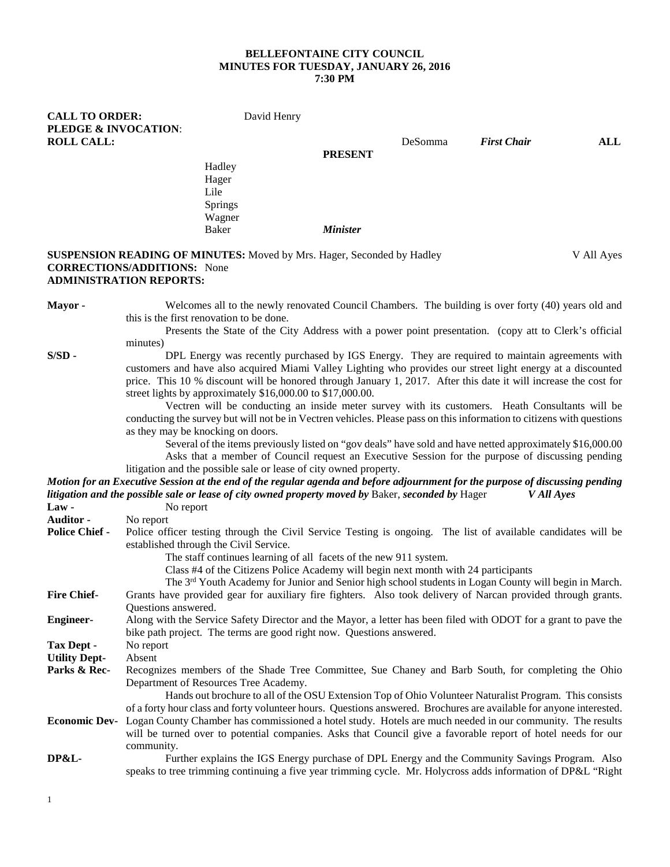#### **BELLEFONTAINE CITY COUNCIL MINUTES FOR TUESDAY, JANUARY 26, 2016 7:30 PM**

**CALL TO ORDER:** David Henry **PLEDGE & INVOCATION**: **ROLL CALL:** DeSomma *First Chair* **ALL PRESENT** Hadley Hager Lile Springs Wagner<br>Baker Baker *Minister* **SUSPENSION READING OF MINUTES:** Moved by Mrs. Hager, Seconded by Hadley V All Ayes **CORRECTIONS/ADDITIONS:** None **ADMINISTRATION REPORTS:**

**Mayor -** Welcomes all to the newly renovated Council Chambers. The building is over forty (40) years old and this is the first renovation to be done.

> Presents the State of the City Address with a power point presentation. (copy att to Clerk's official minutes)

**S/SD -** DPL Energy was recently purchased by IGS Energy. They are required to maintain agreements with customers and have also acquired Miami Valley Lighting who provides our street light energy at a discounted price. This 10 % discount will be honored through January 1, 2017. After this date it will increase the cost for street lights by approximately \$16,000.00 to \$17,000.00.

Vectren will be conducting an inside meter survey with its customers. Heath Consultants will be conducting the survey but will not be in Vectren vehicles. Please pass on this information to citizens with questions as they may be knocking on doors.

Several of the items previously listed on "gov deals" have sold and have netted approximately \$16,000.00 Asks that a member of Council request an Executive Session for the purpose of discussing pending litigation and the possible sale or lease of city owned property.

*Motion for an Executive Session at the end of the regular agenda and before adjournment for the purpose of discussing pending litigation and the possible sale or lease of city owned property moved by* Baker, *seconded by* Hager *V All Ayes*

| $Law -$               | No report                                                                                                                      |  |  |
|-----------------------|--------------------------------------------------------------------------------------------------------------------------------|--|--|
| <b>Auditor -</b>      | No report                                                                                                                      |  |  |
| <b>Police Chief -</b> | Police officer testing through the Civil Service Testing is ongoing. The list of available candidates will be                  |  |  |
|                       | established through the Civil Service.                                                                                         |  |  |
|                       | The staff continues learning of all facets of the new 911 system.                                                              |  |  |
|                       | Class #4 of the Citizens Police Academy will begin next month with 24 participants                                             |  |  |
|                       | The 3 <sup>rd</sup> Youth Academy for Junior and Senior high school students in Logan County will begin in March.              |  |  |
| <b>Fire Chief-</b>    | Grants have provided gear for auxiliary fire fighters. Also took delivery of Narcan provided through grants.                   |  |  |
|                       | Questions answered.                                                                                                            |  |  |
| <b>Engineer-</b>      | Along with the Service Safety Director and the Mayor, a letter has been filed with ODOT for a grant to pave the                |  |  |
|                       | bike path project. The terms are good right now. Questions answered.                                                           |  |  |
| Tax Dept -            | No report                                                                                                                      |  |  |
| <b>Utility Dept-</b>  | Absent                                                                                                                         |  |  |
| Parks & Rec-          | Recognizes members of the Shade Tree Committee, Sue Chaney and Barb South, for completing the Ohio                             |  |  |
|                       | Department of Resources Tree Academy.                                                                                          |  |  |
|                       | Hands out brochure to all of the OSU Extension Top of Ohio Volunteer Naturalist Program. This consists                         |  |  |
|                       | of a forty hour class and forty volunteer hours. Questions answered. Brochures are available for anyone interested.            |  |  |
|                       | <b>Economic Dev-</b> Logan County Chamber has commissioned a hotel study. Hotels are much needed in our community. The results |  |  |
|                       | will be turned over to potential companies. Asks that Council give a favorable report of hotel needs for our                   |  |  |
|                       | community.                                                                                                                     |  |  |
| <b>DP&amp;L-</b>      | Further explains the IGS Energy purchase of DPL Energy and the Community Savings Program. Also                                 |  |  |
|                       | speaks to tree trimming continuing a five year trimming cycle. Mr. Holycross adds information of DP&L "Right"                  |  |  |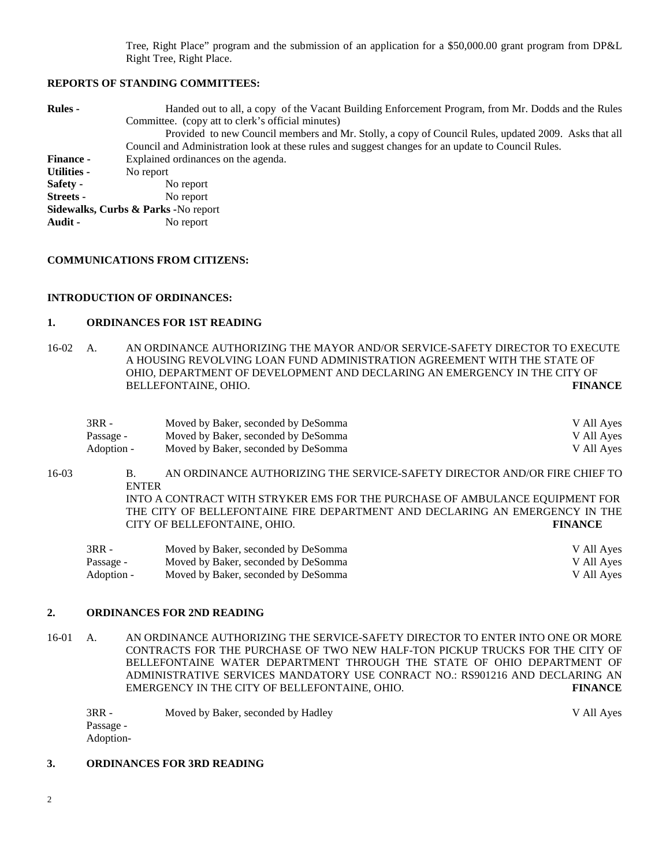Tree, Right Place" program and the submission of an application for a \$50,000.00 grant program from DP&L Right Tree, Right Place.

#### **REPORTS OF STANDING COMMITTEES:**

| <b>Rules</b> -                       | Handed out to all, a copy of the Vacant Building Enforcement Program, from Mr. Dodds and the Rules<br>Committee. (copy att to clerk's official minutes) |  |  |  |
|--------------------------------------|---------------------------------------------------------------------------------------------------------------------------------------------------------|--|--|--|
|                                      | Provided to new Council members and Mr. Stolly, a copy of Council Rules, updated 2009. Asks that all                                                    |  |  |  |
|                                      | Council and Administration look at these rules and suggest changes for an update to Council Rules.                                                      |  |  |  |
| <b>Finance -</b>                     | Explained ordinances on the agenda.                                                                                                                     |  |  |  |
| <b>Utilities -</b>                   | No report                                                                                                                                               |  |  |  |
| Safety -                             | No report                                                                                                                                               |  |  |  |
| Streets -                            | No report                                                                                                                                               |  |  |  |
| Sidewalks, Curbs & Parks - No report |                                                                                                                                                         |  |  |  |
| Audit -                              | No report                                                                                                                                               |  |  |  |

#### **COMMUNICATIONS FROM CITIZENS:**

## **INTRODUCTION OF ORDINANCES:**

#### **1. ORDINANCES FOR 1ST READING**

16-02 A. AN ORDINANCE AUTHORIZING THE MAYOR AND/OR SERVICE-SAFETY DIRECTOR TO EXECUTE A HOUSING REVOLVING LOAN FUND ADMINISTRATION AGREEMENT WITH THE STATE OF OHIO, DEPARTMENT OF DEVELOPMENT AND DECLARING AN EMERGENCY IN THE CITY OF BELLEFONTAINE, OHIO. **FINANCE**

| $3RR -$    | Moved by Baker, seconded by DeSomma | V All Ayes |
|------------|-------------------------------------|------------|
| Passage -  | Moved by Baker, seconded by DeSomma | V All Ayes |
| Adoption - | Moved by Baker, seconded by DeSomma | V All Ayes |

16-03 B. AN ORDINANCE AUTHORIZING THE SERVICE-SAFETY DIRECTOR AND/OR FIRE CHIEF TO ENTER INTO A CONTRACT WITH STRYKER EMS FOR THE PURCHASE OF AMBULANCE EQUIPMENT FOR THE CITY OF BELLEFONTAINE FIRE DEPARTMENT AND DECLARING AN EMERGENCY IN THE CITY OF BELLEFONTAINE, OHIO. **FINANCE**

| 3RR -      | Moved by Baker, seconded by DeSomma | V All Ayes |
|------------|-------------------------------------|------------|
| Passage -  | Moved by Baker, seconded by DeSomma | V All Ayes |
| Adoption - | Moved by Baker, seconded by DeSomma | V All Ayes |

## **2. ORDINANCES FOR 2ND READING**

16-01 A. AN ORDINANCE AUTHORIZING THE SERVICE-SAFETY DIRECTOR TO ENTER INTO ONE OR MORE CONTRACTS FOR THE PURCHASE OF TWO NEW HALF-TON PICKUP TRUCKS FOR THE CITY OF BELLEFONTAINE WATER DEPARTMENT THROUGH THE STATE OF OHIO DEPARTMENT OF ADMINISTRATIVE SERVICES MANDATORY USE CONRACT NO.: RS901216 AND DECLARING AN EMERGENCY IN THE CITY OF BELLEFONTAINE, OHIO. **FINANCE**

| $3RR -$   | Moved by Baker, seconded by Hadley | V All Ayes |
|-----------|------------------------------------|------------|
| Passage - |                                    |            |
| Adoption- |                                    |            |

# **3. ORDINANCES FOR 3RD READING**